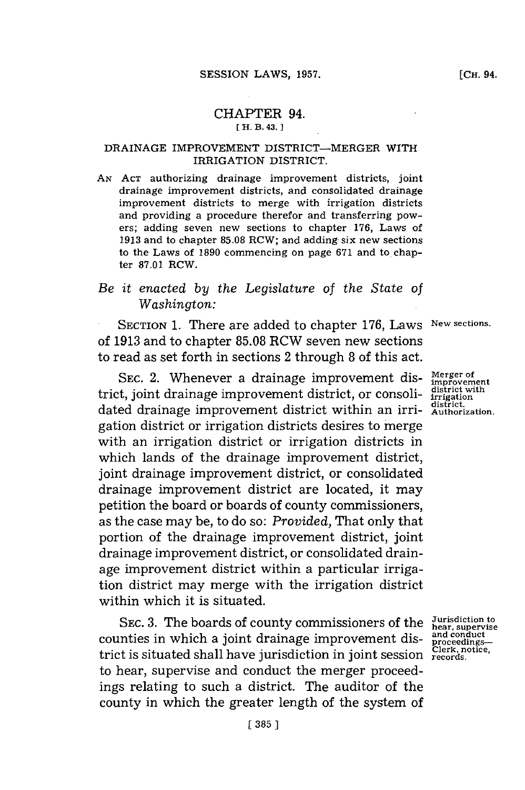#### CHAPTER 94. **[ H. B. 43. 1**

### **DRAINAGE** IMPROVEMENT DISTRICT-MERGER WITH IRRIGATION DISTRICT.

**AN ACT** authorizing drainage improvement districts, joint drainage improvement districts, and consolidated drainage improvement districts to merge with irrigation districts and providing a procedure therefor and transferring powers; adding seven new sections to chapter **176,** Laws of **1913** and to chapter **85.08** RCW; and adding six new sections to the Laws of **1890** commencing on page **671** and to, chapter **87.01** RCW.

# *Be it enacted by the Legislature of the State of Washington:*

SECTION **1.** There are added to chapter **176,** Laws **New sections.** of **1913** and to chapter **85.08** RCW seven new sections to read as set forth in sections 2 through **8** of this act.

**SEC.** 2. Whenever a drainage improvement district, joint drainage improvement district, or consoli-**district with irrigation** dated drainage improvement district within an irri-**district. Authorization.** gation district or irrigation districts desires to merge with an irrigation district or irrigation districts in which lands of the drainage improvement district, joint drainage improvement district, or consolidated drainage improvement district are located, it may petition the board or boards of county commissioners, as the case may be, to do so: *Provided,* That only that portion of the drainage improvement district, joint drainage improvement district, or consolidated drainage improvement district within a particular irrigation district may merge with the irrigation district within which it is situated.

SEC. 3. The boards of county commissioners of the Jurisdiction to<br> **propervise** in which a joint ducinage improvement dia and conduct counties in which a joint drainage improvement district is situated shall have jurisdiction in joint session to hear, supervise and conduct the merger proceedings relating to such a district. The auditor of the county in which the greater length of the system of

**Merger of improvement**

**proceedings-Clerk. notice, records.**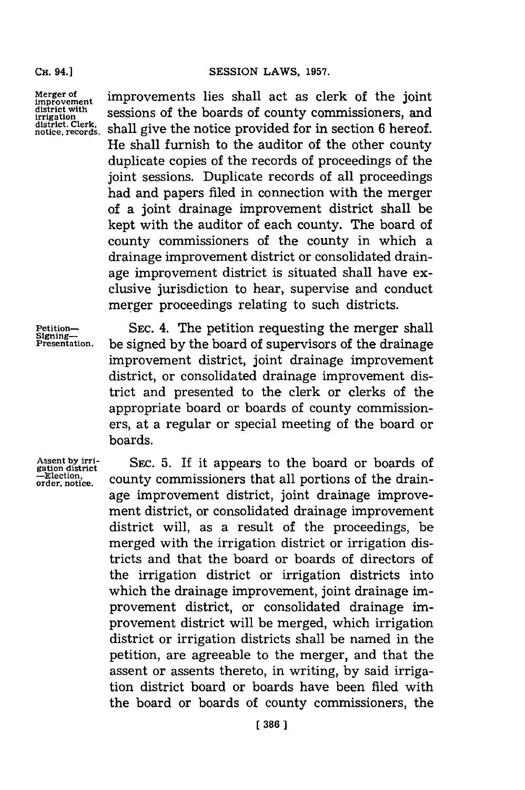**Merger of improvement district with irrigation district. Clerk, notice, records.** improvements lies shall act as clerk of the joint sessions of the boards of county commissioners, and shall give the notice provided for in section **6** hereof. He shall furnish to the auditor of the other county duplicate copies of the records of proceedings of the joint sessions. Duplicate records of all proceedings had and papers filed in connection with the merger of a joint drainage improvement district shall be kept with the auditor of each county. The board of county commissioners of the county in which a drainage improvement district or consolidated drainage improvement district is situated shall have exclusive jurisdiction to hear, supervise and conduct merger proceedings relating to such districts.

Petition-<br>Signing- SEC. 4. The petition requesting the merger shall **Presentation,** be signed **by** the board of supervisors of the drainage improvement district, joint drainage improvement district, or consolidated drainage improvement district and presented to the clerk or clerks of the appropriate board or boards of county commissioners, at a regular or special meeting of the board or boards.

**Assent by irrigation district -lection, order, notice.**

**SEC. 5.** If it appears to the board or boards of county commissioners that all portions of the drainage improvement district, joint drainage improvement district, or consolidated drainage improvement district will, as a result of the proceedings, be merged with the irrigation district or irrigation districts and that the board or boards of directors of the irrigation district or irrigation districts into which the drainage improvement, joint drainage improvement district, or consolidated drainage improvement district will be merged, which irrigation district or irrigation districts shall be named in the petition, are agreeable to the merger, and that the assent or assents thereto, in writing, **by** said irrigation district board or boards have been filed with the board or boards of county commissioners, the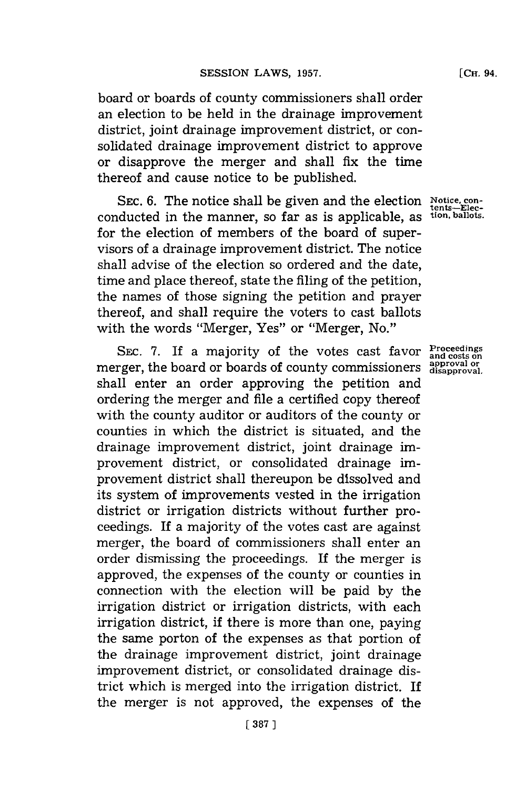board or boards of county commissioners shall order an election to be held in the drainage improvement district, joint drainage improvement district, or consolidated drainage improvement district to approve or disapprove the merger and shall *fix* the time thereof and cause notice to be published.

SEC. 6. The notice shall be given and the election Notice, conconducted in the manner, so far as is applicable, as **tion, ballots.** for the election of members of the board of supervisors of a drainage improvement district. The notice shall advise of the election so ordered and the date, time and place thereof, state the filing of the petition, the names of those signing the petition and prayer thereof, and shall require the voters to cast ballots with the words "Merger, Yes" or "Merger, No."

SEC. 7. If a majority of the votes cast favor  $\frac{Proceedings}{and costs on}$  rger, the board or boards of county commissioners  $\frac{approach}{disaporoval}$ . merger, the board or boards of county commissioners shall enter an order approving the petition and ordering the merger and file a certified copy thereof with the county auditor or auditors of the county or counties in which the district is situated, and the drainage improvement district, joint drainage improvement district, or consolidated drainage improvement district shall thereupon be dissolved and its system of improvements vested in the irrigation district or irrigation districts without further proceedings. If a majority of the votes cast are against merger, the board of commissioners shall enter an order dismissing the proceedings. If the merger is approved, the expenses of the county or counties in connection with the election will be paid **by** the irrigation district or irrigation districts, with each irrigation district, if there is more than one, paying the same porton of the expenses as that portion of the drainage improvement district, joint drainage improvement district, or consolidated drainage district which is merged into the irrigation district. If the merger is not approved, the expenses of the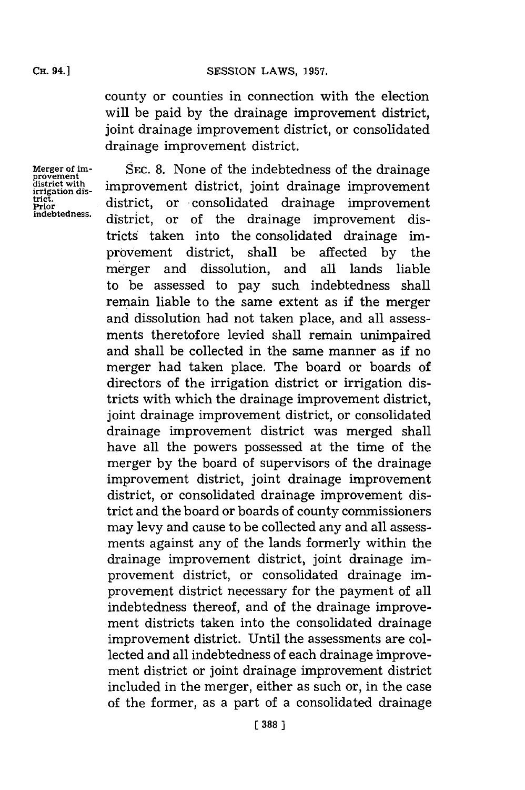county or counties in connection with the election will be paid **by** the drainage improvement district, joint drainage improvement district, or consolidated drainage improvement district.

provement<br>district with<br>irrigation dis-

Merger of im-<br>SEC. 8. None of the indebtedness of the drainage district with<br>
irrigation dis-<br>
trict. district. or consolidated drainage improvement<br> **Prict.** trict.<br>Prior district, or consolidated drainage improvement district, or of the drainage improvement districts taken into the consolidated drainage improvement district, shall be affected **by** the me rger and dissolution, and all lands liable to be assessed to pay such indebtedness shall remain liable to the same extent as if the merger and dissolution had not taken place, and all assessments theretofore levied shall remain unimpaired and shall be collected in the same manner as if no merger had taken place. The board or boards of directors of the irrigation district or irrigation districts with which the drainage improvement district, joint drainage improvement district, or consolidated drainage improvement district was merged shall have all the powers possessed at the time of the merger **by** the board of supervisors of the drainage improvement district, joint drainage improvement district, or consolidated drainage improvement district and the board or boards of county commissioners may levy and cause to be collected any and all assessments against any of the lands formerly within the drainage improvement district, joint drainage improvement district, or consolidated drainage improvement district necessary for the payment of all indebtedness thereof, and of the drainage improvement districts taken into the consolidated drainage improvement district. Until the assessments are collected and all indebtedness of each drainage improvement district or joint drainage improvement district included in the merger, either as such or, in the case of the former, as a part of a consolidated drainage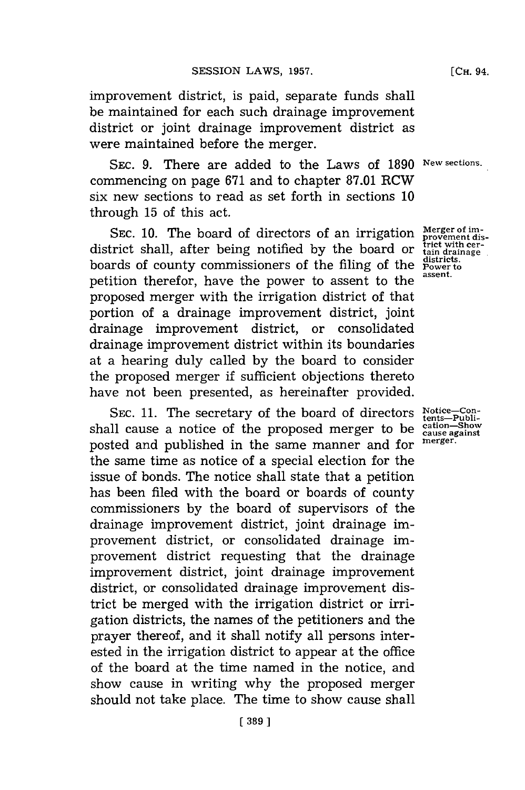improvement district, is paid, separate funds shall be maintained for each such drainage improvement district or joint drainage improvement district as were maintained before the merger.

**SEC. 9.** There are added to the Laws of **1890 New sections.** commencing on page **671** and to chapter **87.01** RCW six new sections to read as set forth in sections **10** through **15** of this act.

SEC. 10. The board of directors of an irrigation *Merger* of im-<br>trict shall, after being notified by the board or *trict* with cerdistrict shall, after being notified by the board or **the district with** boards of county commissioners of the filing of the **power** to boards of county commissioners of the filing of the <sup>district</sup> petition therefor, have the power to assent to the **assent.** proposed merger with the irrigation district of that portion of a drainage improvement district, joint drainage improvement district, or consolidated drainage improvement district within its boundaries at a hearing duly called **by** the board to consider the proposed merger if sufficient objections thereto have not been presented, as hereinafter provided.

SEC. 11. The secretary of the board of directors shall cause a notice of the proposed merger to be cause and  $S_{\text{caus} \text{ and } \text{cons}}$ posted and published in the same manner and for the same time as notice of a special election for the issue of bonds. The notice shall state that a petition has been filed with the board or boards of county commissioners **by** the board of supervisors of the drainage improvement district, joint drainage improvement district, or consolidated drainage improvement district requesting that the drainage improvement district, joint drainage improvement district, or consolidated drainage improvement district be merged with the irrigation district or irrigation districts, the names of the petitioners and the prayer thereof, and it shall notify all persons interested in the irrigation district to appear at the office of the board at the time named in the notice, and show cause in writing why the proposed merger should not take place. The time to show cause shall

Notice—Con-<br>tents—Publi-<br>cation—Show<br>cause against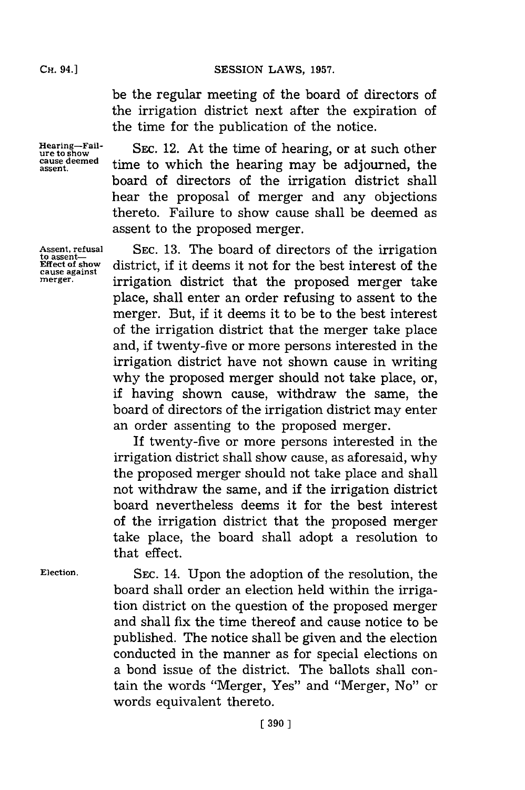**SESSION LAWS, 1957.** 

be the regular meeting of the board of directors of the irrigation district next after the expiration of the time for the publication of the notice.

**Hearing-Failure to show cause deemed assent.**

**Assent, refusal** to assent—<br>Effect of show **Effect of show cause against merger.**

SEC. 12. At the time of hearing, or at such other time to which the hearing may be adjourned, the board of directors of the irrigation district shall hear the proposal of merger and any objections thereto. Failure to show cause shall be deemed as assent to the proposed merger.

**SEC. 13.** The board of directors of the irrigation district, if it deems it not for the best interest of the irrigation district that the proposed merger take place, shall enter an order refusing to assent to the merger. But, if it deems it to be to the best interest of the irrigation district that the merger take place and, if twenty-five or more persons interested in the irrigation district have not shown cause in writing why the proposed merger should not take place, or, if having shown cause, withdraw the same, the board of directors of the irrigation district may enter an order assenting to the proposed merger.

**If** twenty-five or more persons interested in the irrigation district shall show cause, as aforesaid, why the proposed merger should not take place and shall not withdraw the same, and if the irrigation district board nevertheless deems it for the best interest of the irrigation district that the proposed merger take place, the board shall adopt a resolution to that effect.

**Election.**

**SEC.** 14. Upon the adoption of the resolution, the board shall order an election held within the irrigation district on the question of the proposed merger and shall fix the time thereof and cause notice to be published. The notice shall be given and the election conducted in the manner as for special elections on a bond issue of the district. The ballots shall contain the words "Merger, Yes" and "Merger, No" or words equivalent thereto.